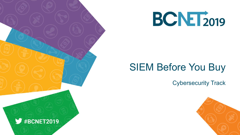



# SIEM Before You Buy

Cybersecurity Track

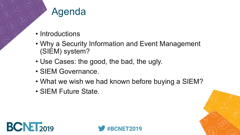### Agenda

- Introductions
- Why a Security Information and Event Management (SIEM) system?
- Use Cases: the good, the bad, the ugly.
- SIEM Governance.
- What we wish we had known before buying a SIEM?
- SIEM Future State.





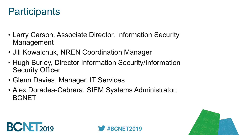## **Participants**

- Larry Carson, Associate Director, Information Security Management
- Jill Kowalchuk, NREN Coordination Manager
- Hugh Burley, Director Information Security/Information Security Officer
- Glenn Davies, Manager, IT Services
- Alex Doradea-Cabrera, SIEM Systems Administrator, BCNET





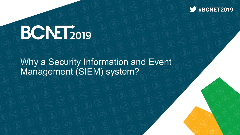

# BCNET2019

Why a Security Information and Event Management (SIEM) system?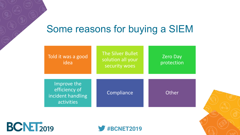## Some reasons for buying a SIEM

| Told it was a good<br>idea                                      | The Silver Bullet<br>solution all your<br>security woes | <b>Zero Day</b><br>protection |
|-----------------------------------------------------------------|---------------------------------------------------------|-------------------------------|
| Improve the<br>efficiency of<br>incident handling<br>activities | Compliance                                              | Other                         |





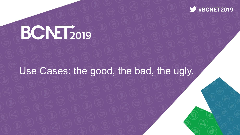

# BCNET<sub>2019</sub>

### Use Cases: the good, the bad, the ugly.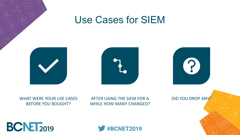

### Use Cases for SIEM





#### WHAT WERE YOUR USE CASES BEFORE YOU BOUGHT?

AFTER USING THE SIEM FOR A WHILE HOW MANY CHANGED? DID YOU DROP ANY?



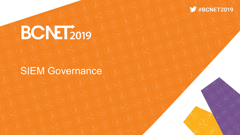

# **BCNET2019**

### SIEM Governance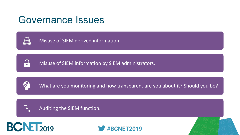## Governance Issues



IA)<br>T

Misuse of SIEM derived information.

Misuse of SIEM information by SIEM administrators.



What are you monitoring and how transparent are you about it? Should you be?



Auditing the SIEM function.





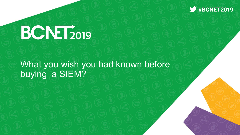

# BCNET<sub>2019</sub>

What you wish you had known before buying a SIEM?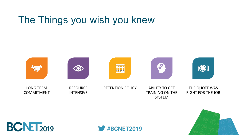# The Things you wish you knew







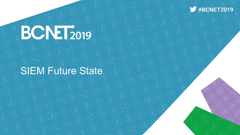

# **BCNET2019**

### SIEM Future State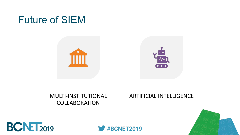### Future of SIEM



#### MULTI-INSTITUTIONAL COLLABORATION

#### ARTIFICIAL INTELLIGENCE